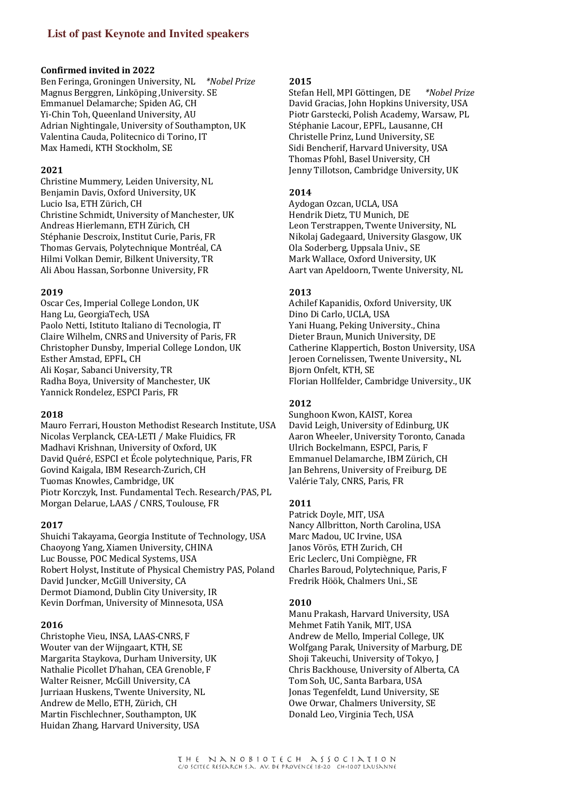# **List of past Keynote and Invited speakers**

### **Confirmed invited in 2022**

Ben Feringa, Groningen University, NL \*Nobel Prize Magnus Berggren, Linköping, University. SE Emmanuel Delamarche: Spiden AG, CH Yi-Chin Toh, Queenland University, AU Adrian Nightingale, University of Southampton, UK Valentina Cauda, Politecnico di Torino, IT Max Hamedi, KTH Stockholm, SE

### **2021**

Christine Mummery, Leiden University, NL Benjamin Davis, Oxford University, UK Lucio Isa, ETH Zürich, CH Christine Schmidt, University of Manchester, UK Andreas Hierlemann, ETH Zürich, CH Stéphanie Descroix, Institut Curie, Paris, FR Thomas Gervais, Polytechnique Montréal, CA Hilmi Volkan Demir, Bilkent University, TR Ali Abou Hassan, Sorbonne University, FR

### **2019**

Oscar Ces, Imperial College London, UK Hang Lu, GeorgiaTech, USA Paolo Netti, Istituto Italiano di Tecnologia, IT Claire Wilhelm, CNRS and University of Paris, FR Christopher Dunsby, Imperial College London, UK Esther Amstad, EPFL, CH Ali Koşar, Sabanci University, TR Radha Boya, University of Manchester, UK Yannick Rondelez, ESPCI Paris, FR

#### **2018**

Mauro Ferrari, Houston Methodist Research Institute, USA Nicolas Verplanck, CEA-LETI / Make Fluidics, FR Madhavi Krishnan, University of Oxford, UK David Quéré, ESPCI et École polytechnique, Paris, FR Govind Kaigala, IBM Research-Zurich, CH Tuomas Knowles, Cambridge, UK Piotr Korczyk, Inst. Fundamental Tech. Research/PAS, PL Morgan Delarue, LAAS / CNRS, Toulouse, FR

### **2017**

Shuichi Takayama, Georgia Institute of Technology, USA Chaoyong Yang, Xiamen University, CHINA Luc Bousse, POC Medical Systems, USA Robert Holyst, Institute of Physical Chemistry PAS, Poland David Juncker, McGill University, CA Dermot Diamond, Dublin City University, IR Kevin Dorfman, University of Minnesota, USA

### **2016**

Christophe Vieu, INSA, LAAS-CNRS, F Wouter van der Wijngaart, KTH, SE Margarita Staykova, Durham University, UK Nathalie Picollet D'hahan, CEA Grenoble, F Walter Reisner, McGill University, CA Jurriaan Huskens, Twente University, NL Andrew de Mello, ETH, Zürich, CH Martin Fischlechner, Southampton, UK Huidan Zhang, Harvard University, USA

#### **2015**

Stefan Hell, MPI Göttingen, DE \*Nobel Prize David Gracias, John Hopkins University, USA Piotr Garstecki, Polish Academy, Warsaw, PL Stéphanie Lacour, EPFL, Lausanne, CH Christelle Prinz, Lund University, SE Sidi Bencherif, Harvard University, USA Thomas Pfohl, Basel University, CH Jenny Tillotson, Cambridge University, UK

### **2014**

Aydogan Ozcan, UCLA, USA Hendrik Dietz, TU Munich, DE Leon Terstrappen, Twente University, NL Nikolaj Gadegaard, University Glasgow, UK Ola Soderberg, Uppsala Univ., SE Mark Wallace, Oxford University, UK Aart van Apeldoorn, Twente University, NL

### **2013**

Achilef Kapanidis, Oxford University, UK Dino Di Carlo, UCLA, USA Yani Huang, Peking University., China Dieter Braun, Munich University, DE Catherine Klappertich, Boston University, USA Jeroen Cornelissen, Twente University., NL Bjorn Onfelt, KTH, SE Florian Hollfelder, Cambridge University., UK

### **2012**

Sunghoon Kwon, KAIST, Korea David Leigh, University of Edinburg, UK Aaron Wheeler, University Toronto, Canada Ulrich Bockelmann, ESPCI, Paris, F Emmanuel Delamarche, IBM Zürich, CH Jan Behrens, University of Freiburg, DE Valérie Taly, CNRS, Paris, FR

### **2011**

Patrick Doyle, MIT, USA Nancy Allbritton, North Carolina, USA Marc Madou, UC Irvine, USA Janos Vörös, ETH Zurich, CH Eric Leclerc, Uni Compiègne, FR Charles Baroud, Polytechnique, Paris, F Fredrik Höök, Chalmers Uni., SE

#### **2010**

Manu Prakash, Harvard University, USA Mehmet Fatih Yanik, MIT, USA Andrew de Mello, Imperial College, UK Wolfgang Parak, University of Marburg, DE Shoji Takeuchi, University of Tokyo, J Chris Backhouse, University of Alberta, CA Tom Soh, UC, Santa Barbara, USA Jonas Tegenfeldt, Lund University, SE Owe Orwar, Chalmers University, SE Donald Leo, Virginia Tech, USA